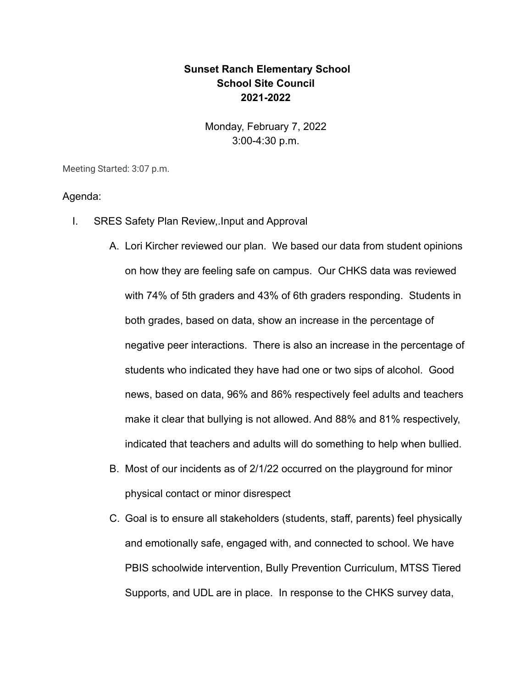## **Sunset Ranch Elementary School School Site Council 2021-2022**

Monday, February 7, 2022 3:00-4:30 p.m.

Meeting Started: 3:07 p.m.

## Agenda:

- I. SRES Safety Plan Review,.Input and Approval
	- A. Lori Kircher reviewed our plan. We based our data from student opinions on how they are feeling safe on campus. Our CHKS data was reviewed with 74% of 5th graders and 43% of 6th graders responding. Students in both grades, based on data, show an increase in the percentage of negative peer interactions. There is also an increase in the percentage of students who indicated they have had one or two sips of alcohol. Good news, based on data, 96% and 86% respectively feel adults and teachers make it clear that bullying is not allowed. And 88% and 81% respectively, indicated that teachers and adults will do something to help when bullied.
	- B. Most of our incidents as of 2/1/22 occurred on the playground for minor physical contact or minor disrespect
	- C. Goal is to ensure all stakeholders (students, staff, parents) feel physically and emotionally safe, engaged with, and connected to school. We have PBIS schoolwide intervention, Bully Prevention Curriculum, MTSS Tiered Supports, and UDL are in place. In response to the CHKS survey data,